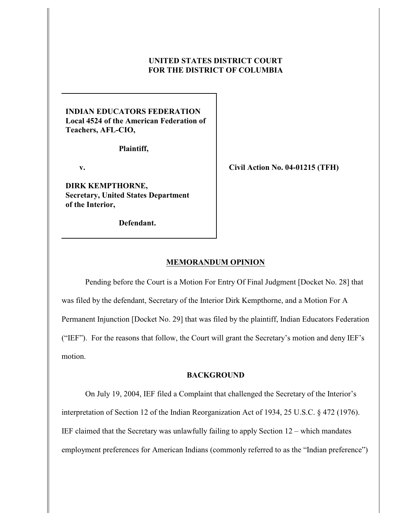## **UNITED STATES DISTRICT COURT FOR THE DISTRICT OF COLUMBIA**

# **INDIAN EDUCATORS FEDERATION Local 4524 of the American Federation of Teachers, AFL-CIO,**

 **Plaintiff,**

 **v.**

**DIRK KEMPTHORNE, Secretary, United States Department of the Interior,**

 **Defendant.**

**Civil Action No. 04-01215 (TFH)**

#### **MEMORANDUM OPINION**

Pending before the Court is a Motion For Entry Of Final Judgment [Docket No. 28] that was filed by the defendant, Secretary of the Interior Dirk Kempthorne, and a Motion For A Permanent Injunction [Docket No. 29] that was filed by the plaintiff, Indian Educators Federation ("IEF"). For the reasons that follow, the Court will grant the Secretary's motion and deny IEF's motion.

#### **BACKGROUND**

On July 19, 2004, IEF filed a Complaint that challenged the Secretary of the Interior's interpretation of Section 12 of the Indian Reorganization Act of 1934, 25 U.S.C. § 472 (1976). IEF claimed that the Secretary was unlawfully failing to apply Section 12 – which mandates employment preferences for American Indians (commonly referred to as the "Indian preference")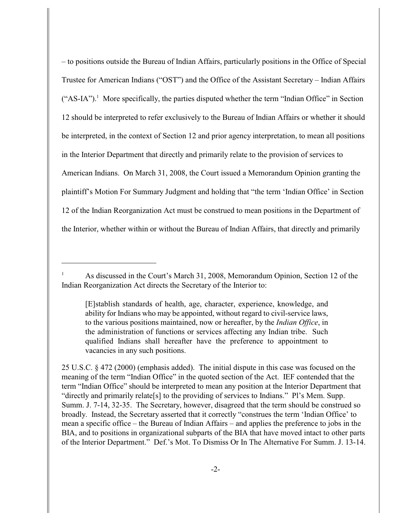– to positions outside the Bureau of Indian Affairs, particularly positions in the Office of Special Trustee for American Indians ("OST") and the Office of the Assistant Secretary – Indian Affairs  $("AS-IA")$ . More specifically, the parties disputed whether the term "Indian Office" in Section 12 should be interpreted to refer exclusively to the Bureau of Indian Affairs or whether it should be interpreted, in the context of Section 12 and prior agency interpretation, to mean all positions in the Interior Department that directly and primarily relate to the provision of services to American Indians. On March 31, 2008, the Court issued a Memorandum Opinion granting the plaintiff's Motion For Summary Judgment and holding that "the term 'Indian Office' in Section 12 of the Indian Reorganization Act must be construed to mean positions in the Department of the Interior, whether within or without the Bureau of Indian Affairs, that directly and primarily

As discussed in the Court's March 31, 2008, Memorandum Opinion, Section 12 of the <sup>1</sup> Indian Reorganization Act directs the Secretary of the Interior to:

<sup>[</sup>E]stablish standards of health, age, character, experience, knowledge, and ability for Indians who may be appointed, without regard to civil-service laws, to the various positions maintained, now or hereafter, by the *Indian Office*, in the administration of functions or services affecting any Indian tribe. Such qualified Indians shall hereafter have the preference to appointment to vacancies in any such positions.

<sup>25</sup> U.S.C. § 472 (2000) (emphasis added). The initial dispute in this case was focused on the meaning of the term "Indian Office" in the quoted section of the Act. IEF contended that the term "Indian Office" should be interpreted to mean any position at the Interior Department that "directly and primarily relate[s] to the providing of services to Indians." Pl's Mem. Supp. Summ. J. 7-14, 32-35. The Secretary, however, disagreed that the term should be construed so broadly. Instead, the Secretary asserted that it correctly "construes the term 'Indian Office' to mean a specific office – the Bureau of Indian Affairs – and applies the preference to jobs in the BIA, and to positions in organizational subparts of the BIA that have moved intact to other parts of the Interior Department." Def.'s Mot. To Dismiss Or In The Alternative For Summ. J. 13-14.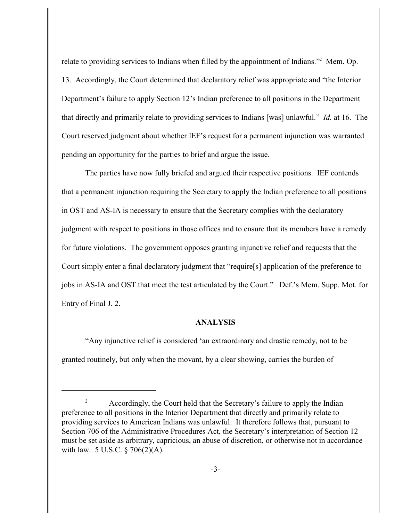relate to providing services to Indians when filled by the appointment of Indians."<sup>2</sup> Mem. Op. 13. Accordingly, the Court determined that declaratory relief was appropriate and "the Interior Department's failure to apply Section 12's Indian preference to all positions in the Department that directly and primarily relate to providing services to Indians [was] unlawful." *Id.* at 16. The Court reserved judgment about whether IEF's request for a permanent injunction was warranted pending an opportunity for the parties to brief and argue the issue.

The parties have now fully briefed and argued their respective positions. IEF contends that a permanent injunction requiring the Secretary to apply the Indian preference to all positions in OST and AS-IA is necessary to ensure that the Secretary complies with the declaratory judgment with respect to positions in those offices and to ensure that its members have a remedy for future violations. The government opposes granting injunctive relief and requests that the Court simply enter a final declaratory judgment that "require[s] application of the preference to jobs in AS-IA and OST that meet the test articulated by the Court." Def.'s Mem. Supp. Mot. for Entry of Final J. 2.

## **ANALYSIS**

"Any injunctive relief is considered 'an extraordinary and drastic remedy, not to be granted routinely, but only when the movant, by a clear showing, carries the burden of

Accordingly, the Court held that the Secretary's failure to apply the Indian <sup>2</sup> preference to all positions in the Interior Department that directly and primarily relate to providing services to American Indians was unlawful. It therefore follows that, pursuant to Section 706 of the Administrative Procedures Act, the Secretary's interpretation of Section 12 must be set aside as arbitrary, capricious, an abuse of discretion, or otherwise not in accordance with law. 5 U.S.C. § 706(2)(A).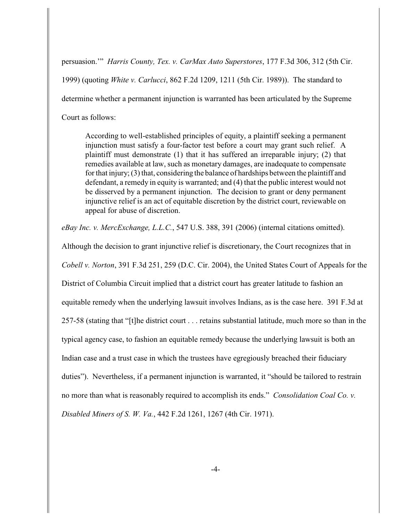persuasion.'" *Harris County, Tex. v. CarMax Auto Superstores*, 177 F.3d 306, 312 (5th Cir. 1999) (quoting *White v. Carlucci*, 862 F.2d 1209, 1211 (5th Cir. 1989)). The standard to determine whether a permanent injunction is warranted has been articulated by the Supreme Court as follows:

According to well-established principles of equity, a plaintiff seeking a permanent injunction must satisfy a four-factor test before a court may grant such relief. A plaintiff must demonstrate (1) that it has suffered an irreparable injury; (2) that remedies available at law, such as monetary damages, are inadequate to compensate for that injury; (3) that, considering the balance of hardships between the plaintiff and defendant, a remedy in equity is warranted; and (4) that the public interest would not be disserved by a permanent injunction. The decision to grant or deny permanent injunctive relief is an act of equitable discretion by the district court, reviewable on appeal for abuse of discretion.

*eBay Inc. v. MercExchange, L.L.C.*, 547 U.S. 388, 391 (2006) (internal citations omitted).

Although the decision to grant injunctive relief is discretionary, the Court recognizes that in *Cobell v. Norton*, 391 F.3d 251, 259 (D.C. Cir. 2004), the United States Court of Appeals for the District of Columbia Circuit implied that a district court has greater latitude to fashion an equitable remedy when the underlying lawsuit involves Indians, as is the case here. 391 F.3d at 257-58 (stating that "[t]he district court . . . retains substantial latitude, much more so than in the typical agency case, to fashion an equitable remedy because the underlying lawsuit is both an Indian case and a trust case in which the trustees have egregiously breached their fiduciary duties"). Nevertheless, if a permanent injunction is warranted, it "should be tailored to restrain no more than what is reasonably required to accomplish its ends." *Consolidation Coal Co. v. Disabled Miners of S. W. Va.*, 442 F.2d 1261, 1267 (4th Cir. 1971).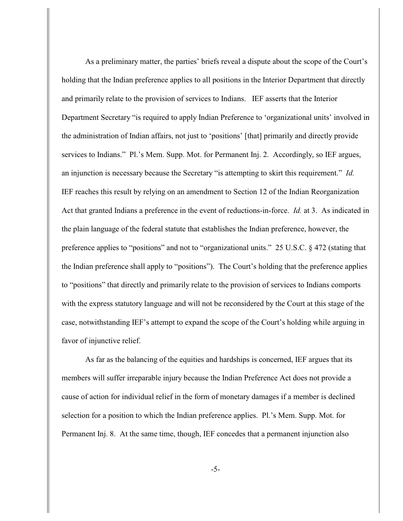As a preliminary matter, the parties' briefs reveal a dispute about the scope of the Court's holding that the Indian preference applies to all positions in the Interior Department that directly and primarily relate to the provision of services to Indians. IEF asserts that the Interior Department Secretary "is required to apply Indian Preference to 'organizational units' involved in the administration of Indian affairs, not just to 'positions' [that] primarily and directly provide services to Indians." Pl.'s Mem. Supp. Mot. for Permanent Inj. 2. Accordingly, so IEF argues, an injunction is necessary because the Secretary "is attempting to skirt this requirement." *Id.* IEF reaches this result by relying on an amendment to Section 12 of the Indian Reorganization Act that granted Indians a preference in the event of reductions-in-force. *Id.* at 3. As indicated in the plain language of the federal statute that establishes the Indian preference, however, the preference applies to "positions" and not to "organizational units." 25 U.S.C. § 472 (stating that the Indian preference shall apply to "positions"). The Court's holding that the preference applies to "positions" that directly and primarily relate to the provision of services to Indians comports with the express statutory language and will not be reconsidered by the Court at this stage of the case, notwithstanding IEF's attempt to expand the scope of the Court's holding while arguing in favor of injunctive relief.

As far as the balancing of the equities and hardships is concerned, IEF argues that its members will suffer irreparable injury because the Indian Preference Act does not provide a cause of action for individual relief in the form of monetary damages if a member is declined selection for a position to which the Indian preference applies. Pl.'s Mem. Supp. Mot. for Permanent Inj. 8. At the same time, though, IEF concedes that a permanent injunction also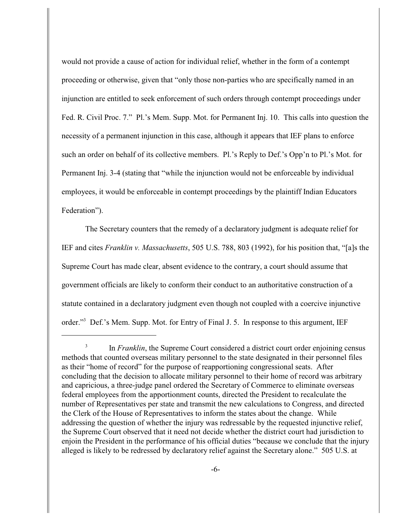would not provide a cause of action for individual relief, whether in the form of a contempt proceeding or otherwise, given that "only those non-parties who are specifically named in an injunction are entitled to seek enforcement of such orders through contempt proceedings under Fed. R. Civil Proc. 7." Pl.'s Mem. Supp. Mot. for Permanent Inj. 10. This calls into question the necessity of a permanent injunction in this case, although it appears that IEF plans to enforce such an order on behalf of its collective members. Pl.'s Reply to Def.'s Opp'n to Pl.'s Mot. for Permanent Inj. 3-4 (stating that "while the injunction would not be enforceable by individual employees, it would be enforceable in contempt proceedings by the plaintiff Indian Educators Federation").

The Secretary counters that the remedy of a declaratory judgment is adequate relief for IEF and cites *Franklin v. Massachusetts*, 505 U.S. 788, 803 (1992), for his position that, "[a]s the Supreme Court has made clear, absent evidence to the contrary, a court should assume that government officials are likely to conform their conduct to an authoritative construction of a statute contained in a declaratory judgment even though not coupled with a coercive injunctive order."<sup>3</sup> Def.'s Mem. Supp. Mot. for Entry of Final J. 5. In response to this argument, IEF

In *Franklin*, the Supreme Court considered a district court order enjoining census methods that counted overseas military personnel to the state designated in their personnel files as their "home of record" for the purpose of reapportioning congressional seats. After concluding that the decision to allocate military personnel to their home of record was arbitrary and capricious, a three-judge panel ordered the Secretary of Commerce to eliminate overseas federal employees from the apportionment counts, directed the President to recalculate the number of Representatives per state and transmit the new calculations to Congress, and directed the Clerk of the House of Representatives to inform the states about the change. While addressing the question of whether the injury was redressable by the requested injunctive relief, the Supreme Court observed that it need not decide whether the district court had jurisdiction to enjoin the President in the performance of his official duties "because we conclude that the injury alleged is likely to be redressed by declaratory relief against the Secretary alone." 505 U.S. at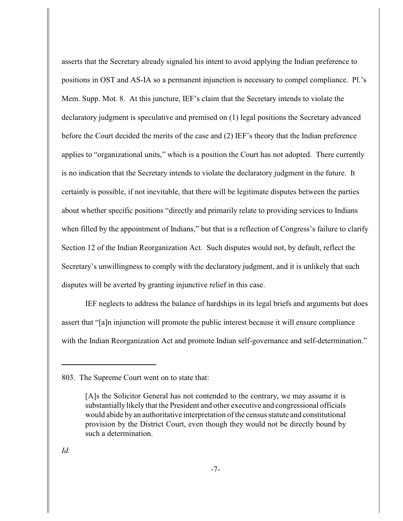asserts that the Secretary already signaled his intent to avoid applying the Indian preference to positions in OST and AS-IA so a permanent injunction is necessary to compel compliance. Pl.'s Mem. Supp. Mot. 8. At this juncture, IEF's claim that the Secretary intends to violate the declaratory judgment is speculative and premised on (1) legal positions the Secretary advanced before the Court decided the merits of the case and (2) IEF's theory that the Indian preference applies to "organizational units," which is a position the Court has not adopted. There currently is no indication that the Secretary intends to violate the declaratory judgment in the future. It certainly is possible, if not inevitable, that there will be legitimate disputes between the parties about whether specific positions "directly and primarily relate to providing services to Indians when filled by the appointment of Indians," but that is a reflection of Congress's failure to clarify Section 12 of the Indian Reorganization Act. Such disputes would not, by default, reflect the Secretary's unwillingness to comply with the declaratory judgment, and it is unlikely that such disputes will be averted by granting injunctive relief in this case.

IEF neglects to address the balance of hardships in its legal briefs and arguments but does assert that "[a]n injunction will promote the public interest because it will ensure compliance with the Indian Reorganization Act and promote Indian self-governance and self-determination."

<sup>803.</sup> The Supreme Court went on to state that:

<sup>[</sup>A]s the Solicitor General has not contended to the contrary, we may assume it is substantially likely that the President and other executive and congressional officials would abide by an authoritative interpretation of the census statute and constitutional provision by the District Court, even though they would not be directly bound by such a determination.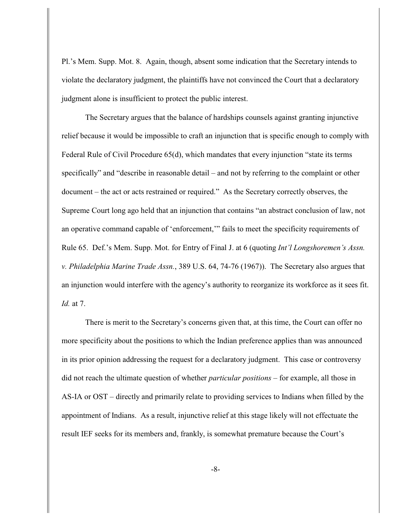Pl.'s Mem. Supp. Mot. 8. Again, though, absent some indication that the Secretary intends to violate the declaratory judgment, the plaintiffs have not convinced the Court that a declaratory judgment alone is insufficient to protect the public interest.

The Secretary argues that the balance of hardships counsels against granting injunctive relief because it would be impossible to craft an injunction that is specific enough to comply with Federal Rule of Civil Procedure 65(d), which mandates that every injunction "state its terms specifically" and "describe in reasonable detail – and not by referring to the complaint or other document – the act or acts restrained or required." As the Secretary correctly observes, the Supreme Court long ago held that an injunction that contains "an abstract conclusion of law, not an operative command capable of 'enforcement,'" fails to meet the specificity requirements of Rule 65. Def.'s Mem. Supp. Mot. for Entry of Final J. at 6 (quoting *Int'l Longshoremen's Assn. v. Philadelphia Marine Trade Assn.*, 389 U.S. 64, 74-76 (1967)). The Secretary also argues that an injunction would interfere with the agency's authority to reorganize its workforce as it sees fit. *Id.* at 7.

There is merit to the Secretary's concerns given that, at this time, the Court can offer no more specificity about the positions to which the Indian preference applies than was announced in its prior opinion addressing the request for a declaratory judgment. This case or controversy did not reach the ultimate question of whether *particular positions* – for example, all those in AS-IA or OST – directly and primarily relate to providing services to Indians when filled by the appointment of Indians. As a result, injunctive relief at this stage likely will not effectuate the result IEF seeks for its members and, frankly, is somewhat premature because the Court's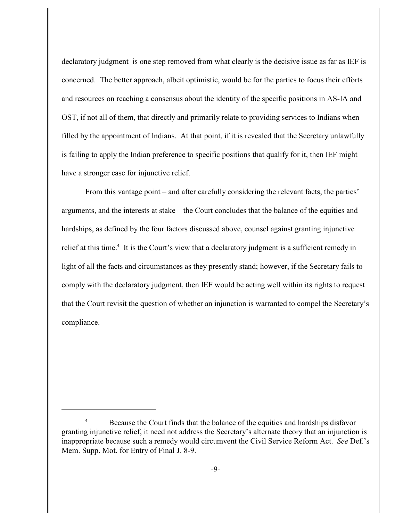declaratory judgment is one step removed from what clearly is the decisive issue as far as IEF is concerned. The better approach, albeit optimistic, would be for the parties to focus their efforts and resources on reaching a consensus about the identity of the specific positions in AS-IA and OST, if not all of them, that directly and primarily relate to providing services to Indians when filled by the appointment of Indians. At that point, if it is revealed that the Secretary unlawfully is failing to apply the Indian preference to specific positions that qualify for it, then IEF might have a stronger case for injunctive relief.

From this vantage point – and after carefully considering the relevant facts, the parties' arguments, and the interests at stake – the Court concludes that the balance of the equities and hardships, as defined by the four factors discussed above, counsel against granting injunctive relief at this time.<sup>4</sup> It is the Court's view that a declaratory judgment is a sufficient remedy in light of all the facts and circumstances as they presently stand; however, if the Secretary fails to comply with the declaratory judgment, then IEF would be acting well within its rights to request that the Court revisit the question of whether an injunction is warranted to compel the Secretary's compliance.

Because the Court finds that the balance of the equities and hardships disfavor <sup>4</sup> granting injunctive relief, it need not address the Secretary's alternate theory that an injunction is inappropriate because such a remedy would circumvent the Civil Service Reform Act. *See* Def.'s Mem. Supp. Mot. for Entry of Final J. 8-9.